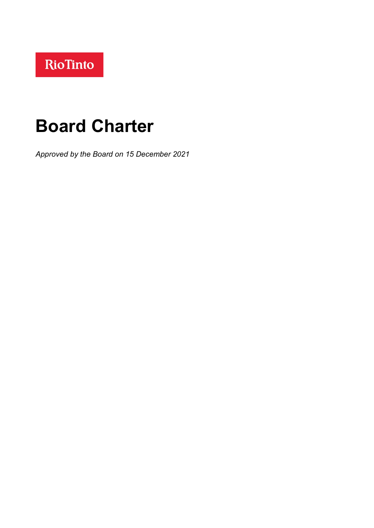# **Board Charter**

*Approved by the Board on 15 December 2021*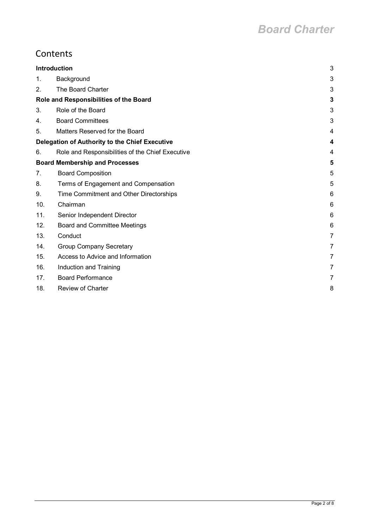# **Contents**

| <b>Introduction</b>                    |                                                  | 3 |
|----------------------------------------|--------------------------------------------------|---|
| 1.                                     | Background                                       | 3 |
| 2.                                     | The Board Charter                                | 3 |
| Role and Responsibilities of the Board |                                                  | 3 |
| 3.                                     | Role of the Board                                | 3 |
| 4.                                     | <b>Board Committees</b>                          | 3 |
| 5.                                     | Matters Reserved for the Board                   | 4 |
|                                        | Delegation of Authority to the Chief Executive   | 4 |
| 6.                                     | Role and Responsibilities of the Chief Executive | 4 |
| <b>Board Membership and Processes</b>  |                                                  | 5 |
| 7.                                     | <b>Board Composition</b>                         | 5 |
| 8.                                     | Terms of Engagement and Compensation             | 5 |
| 9.                                     | Time Commitment and Other Directorships          | 6 |
| 10.                                    | Chairman                                         | 6 |
| 11.                                    | Senior Independent Director                      | 6 |
| 12.                                    | <b>Board and Committee Meetings</b>              | 6 |
| 13.                                    | Conduct                                          | 7 |
| 14.                                    | <b>Group Company Secretary</b>                   | 7 |
| 15.                                    | Access to Advice and Information                 | 7 |
| 16.                                    | Induction and Training                           | 7 |
| 17.                                    | <b>Board Performance</b>                         | 7 |
| 18.                                    | <b>Review of Charter</b>                         | 8 |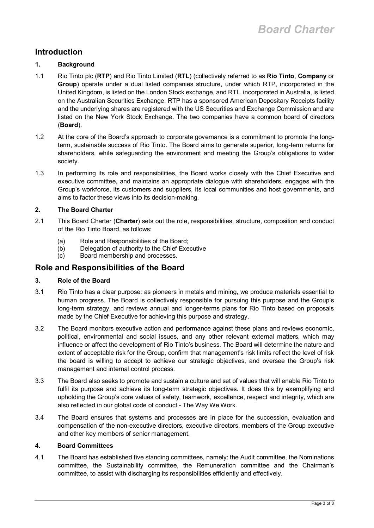# <span id="page-2-0"></span>**Introduction**

#### <span id="page-2-1"></span>**1. Background**

- 1.1 Rio Tinto plc (**RTP**) and Rio Tinto Limited (**RTL**) (collectively referred to as **Rio Tinto**, **Company** or **Group**) operate under a dual listed companies structure, under which RTP, incorporated in the United Kingdom, is listed on the London Stock exchange, and RTL, incorporated in Australia, is listed on the Australian Securities Exchange. RTP has a sponsored American Depositary Receipts facility and the underlying shares are registered with the US Securities and Exchange Commission and are listed on the New York Stock Exchange. The two companies have a common board of directors (**Board**).
- 1.2 At the core of the Board's approach to corporate governance is a commitment to promote the longterm, sustainable success of Rio Tinto. The Board aims to generate superior, long-term returns for shareholders, while safeguarding the environment and meeting the Group's obligations to wider society.
- 1.3 In performing its role and responsibilities, the Board works closely with the Chief Executive and executive committee, and maintains an appropriate dialogue with shareholders, engages with the Group's workforce, its customers and suppliers, its local communities and host governments, and aims to factor these views into its decision-making.

#### <span id="page-2-2"></span>**2. The Board Charter**

- 2.1 This Board Charter (**Charter**) sets out the role, responsibilities, structure, composition and conduct of the Rio Tinto Board, as follows:
	- (a) Role and Responsibilities of the Board;
	- (b) Delegation of authority to the Chief Executive<br>(c) Board membership and processes.
	- Board membership and processes.

### <span id="page-2-3"></span>**Role and Responsibilities of the Board**

#### <span id="page-2-4"></span>**3. Role of the Board**

- 3.1 Rio Tinto has a clear purpose: as pioneers in metals and mining, we produce materials essential to human progress. The Board is collectively responsible for pursuing this purpose and the Group's long-term strategy, and reviews annual and longer-terms plans for Rio Tinto based on proposals made by the Chief Executive for achieving this purpose and strategy.
- 3.2 The Board monitors executive action and performance against these plans and reviews economic, political, environmental and social issues, and any other relevant external matters, which may influence or affect the development of Rio Tinto's business. The Board will determine the nature and extent of acceptable risk for the Group, confirm that management's risk limits reflect the level of risk the board is willing to accept to achieve our strategic objectives, and oversee the Group's risk management and internal control process.
- 3.3 The Board also seeks to promote and sustain a culture and set of values that will enable Rio Tinto to fulfil its purpose and achieve its long-term strategic objectives. It does this by exemplifying and upholding the Group's core values of safety, teamwork, excellence, respect and integrity, which are also reflected in our global code of conduct - The Way We Work.
- 3.4 The Board ensures that systems and processes are in place for the succession, evaluation and compensation of the non-executive directors, executive directors, members of the Group executive and other key members of senior management.

#### <span id="page-2-5"></span>**4. Board Committees**

4.1 The Board has established five standing committees, namely: the Audit committee, the Nominations committee, the Sustainability committee, the Remuneration committee and the Chairman's committee, to assist with discharging its responsibilities efficiently and effectively.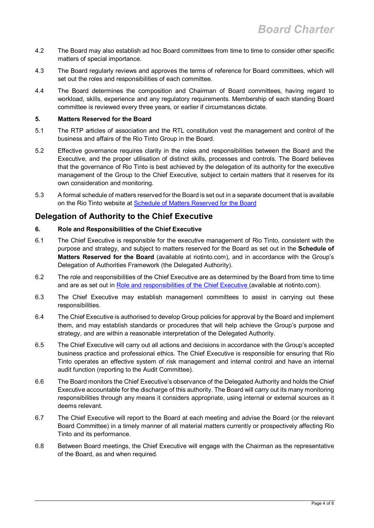- 4.2 The Board may also establish ad hoc Board committees from time to time to consider other specific matters of special importance.
- 4.3 The Board regularly reviews and approves the terms of reference for Board committees, which will set out the roles and responsibilities of each committee.
- 4.4 The Board determines the composition and Chairman of Board committees, having regard to workload, skills, experience and any regulatory requirements. Membership of each standing Board committee is reviewed every three years, or earlier if circumstances dictate.

#### <span id="page-3-0"></span>**5. Matters Reserved for the Board**

- 5.1 The RTP articles of association and the RTL constitution vest the management and control of the business and affairs of the Rio Tinto Group in the Board.
- 5.2 Effective governance requires clarity in the roles and responsibilities between the Board and the Executive, and the proper utilisation of distinct skills, processes and controls. The Board believes that the governance of Rio Tinto is best achieved by the delegation of its authority for the executive management of the Group to the Chief Executive, subject to certain matters that it reserves for its own consideration and monitoring.
- 5.3 A formal schedule of matters reserved for the Board is set out in a separate document that is available on the Rio Tinto website at Schedule of Matters Reserved for the Board

## <span id="page-3-1"></span>**Delegation of Authority to the Chief Executive**

#### <span id="page-3-2"></span>**6. Role and Responsibilities of the Chief Executive**

- 6.1 The Chief Executive is responsible for the executive management of Rio Tinto, consistent with the purpose and strategy, and subject to matters reserved for the Board as set out in the **[Schedule of](http://www.riotinto.com/documents/RT_Schedule_of_Matters_Reserved_for_the_Board_2018.pdf)  [Matters Reserved for the Board](http://www.riotinto.com/documents/RT_Schedule_of_Matters_Reserved_for_the_Board_2018.pdf)** (available at riotinto.com), and in accordance with the Group's Delegation of Authorities Framework (the Delegated Authority).
- 6.2 The role and responsibilities of the Chief Executive are as determined by the Board from time to time and are as set out in Role and responsibilities of the Chief Executive (available at riotinto.com).
- 6.3 The Chief Executive may establish management committees to assist in carrying out these responsibilities.
- 6.4 The Chief Executive is authorised to develop Group policies for approval by the Board and implement them, and may establish standards or procedures that will help achieve the Group's purpose and strategy, and are within a reasonable interpretation of the Delegated Authority.
- 6.5 The Chief Executive will carry out all actions and decisions in accordance with the Group's accepted business practice and professional ethics. The Chief Executive is responsible for ensuring that Rio Tinto operates an effective system of risk management and internal control and have an internal audit function (reporting to the Audit Committee).
- 6.6 The Board monitors the Chief Executive's observance of the Delegated Authority and holds the Chief Executive accountable for the discharge of this authority. The Board will carry out its many monitoring responsibilities through any means it considers appropriate, using internal or external sources as it deems relevant.
- 6.7 The Chief Executive will report to the Board at each meeting and advise the Board (or the relevant Board Committee) in a timely manner of all material matters currently or prospectively affecting Rio Tinto and its performance.
- 6.8 Between Board meetings, the Chief Executive will engage with the Chairman as the representative of the Board, as and when required.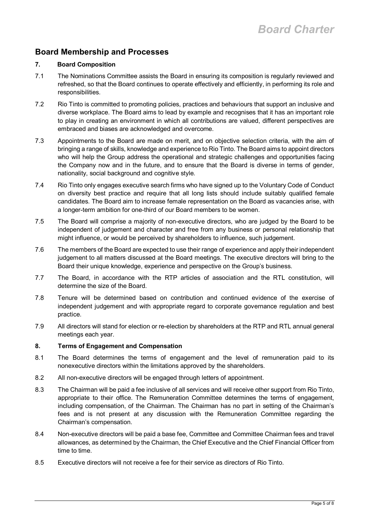# <span id="page-4-0"></span>**Board Membership and Processes**

#### <span id="page-4-1"></span>**7. Board Composition**

- 7.1 The Nominations Committee assists the Board in ensuring its composition is regularly reviewed and refreshed, so that the Board continues to operate effectively and efficiently, in performing its role and responsibilities.
- 7.2 Rio Tinto is committed to promoting policies, practices and behaviours that support an inclusive and diverse workplace. The Board aims to lead by example and recognises that it has an important role to play in creating an environment in which all contributions are valued, different perspectives are embraced and biases are acknowledged and overcome.
- 7.3 Appointments to the Board are made on merit, and on objective selection criteria, with the aim of bringing a range of skills, knowledge and experience to Rio Tinto. The Board aims to appoint directors who will help the Group address the operational and strategic challenges and opportunities facing the Company now and in the future, and to ensure that the Board is diverse in terms of gender, nationality, social background and cognitive style.
- 7.4 Rio Tinto only engages executive search firms who have signed up to the Voluntary Code of Conduct on diversity best practice and require that all long lists should include suitably qualified female candidates. The Board aim to increase female representation on the Board as vacancies arise, with a longer-term ambition for one-third of our Board members to be women.
- 7.5 The Board will comprise a majority of non-executive directors, who are judged by the Board to be independent of judgement and character and free from any business or personal relationship that might influence, or would be perceived by shareholders to influence, such judgement.
- 7.6 The members of the Board are expected to use their range of experience and apply their independent judgement to all matters discussed at the Board meetings. The executive directors will bring to the Board their unique knowledge, experience and perspective on the Group's business.
- 7.7 The Board, in accordance with the RTP articles of association and the RTL constitution, will determine the size of the Board.
- 7.8 Tenure will be determined based on contribution and continued evidence of the exercise of independent judgement and with appropriate regard to corporate governance regulation and best practice.
- 7.9 All directors will stand for election or re-election by shareholders at the RTP and RTL annual general meetings each year.

#### <span id="page-4-2"></span>**8. Terms of Engagement and Compensation**

- 8.1 The Board determines the terms of engagement and the level of remuneration paid to its nonexecutive directors within the limitations approved by the shareholders.
- 8.2 All non-executive directors will be engaged through letters of appointment.
- 8.3 The Chairman will be paid a fee inclusive of all services and will receive other support from Rio Tinto, appropriate to their office. The Remuneration Committee determines the terms of engagement, including compensation, of the Chairman. The Chairman has no part in setting of the Chairman's fees and is not present at any discussion with the Remuneration Committee regarding the Chairman's compensation.
- 8.4 Non-executive directors will be paid a base fee, Committee and Committee Chairman fees and travel allowances, as determined by the Chairman, the Chief Executive and the Chief Financial Officer from time to time.
- 8.5 Executive directors will not receive a fee for their service as directors of Rio Tinto.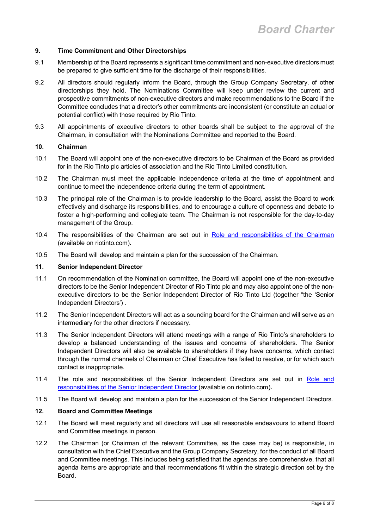#### <span id="page-5-0"></span>**9. Time Commitment and Other Directorships**

- 9.1 Membership of the Board represents a significant time commitment and non-executive directors must be prepared to give sufficient time for the discharge of their responsibilities.
- 9.2 All directors should regularly inform the Board, through the Group Company Secretary, of other directorships they hold. The Nominations Committee will keep under review the current and prospective commitments of non-executive directors and make recommendations to the Board if the Committee concludes that a director's other commitments are inconsistent (or constitute an actual or potential conflict) with those required by Rio Tinto.
- 9.3 All appointments of executive directors to other boards shall be subject to the approval of the Chairman, in consultation with the Nominations Committee and reported to the Board.

#### <span id="page-5-1"></span>**10. Chairman**

- 10.1 The Board will appoint one of the non-executive directors to be Chairman of the Board as provided for in the Rio Tinto plc articles of association and the Rio Tinto Limited constitution.
- 10.2 The Chairman must meet the applicable independence criteria at the time of appointment and continue to meet the independence criteria during the term of appointment.
- 10.3 The principal role of the Chairman is to provide leadership to the Board, assist the Board to work effectively and discharge its responsibilities, and to encourage a culture of openness and debate to foster a high-performing and collegiate team. The Chairman is not responsible for the day-to-day management of the Group.
- 10.4 The responsibilities of the Chairman are set out in Role and responsibilities of the Chairman (available on riotinto.com)**.**
- 10.5 The Board will develop and maintain a plan for the succession of the Chairman.

#### <span id="page-5-2"></span>**11. Senior Independent Director**

- 11.1 On recommendation of the Nomination committee, the Board will appoint one of the non-executive directors to be the Senior Independent Director of Rio Tinto plc and may also appoint one of the nonexecutive directors to be the Senior Independent Director of Rio Tinto Ltd (together "the 'Senior Independent Directors') .
- 11.2 The Senior Independent Directors will act as a sounding board for the Chairman and will serve as an intermediary for the other directors if necessary.
- 11.3 The Senior Independent Directors will attend meetings with a range of Rio Tinto's shareholders to develop a balanced understanding of the issues and concerns of shareholders. The Senior Independent Directors will also be available to shareholders if they have concerns, which contact through the normal channels of Chairman or Chief Executive has failed to resolve, or for which such contact is inappropriate.
- 11.4 The role and responsibilities of the Senior Independent Directors are set out in Role and responsibilities of the Senior Independent Director (available on riotinto.com)**.**
- 11.5 The Board will develop and maintain a plan for the succession of the Senior Independent Directors.

#### <span id="page-5-3"></span>**12. Board and Committee Meetings**

- 12.1 The Board will meet regularly and all directors will use all reasonable endeavours to attend Board and Committee meetings in person.
- 12.2 The Chairman (or Chairman of the relevant Committee, as the case may be) is responsible, in consultation with the Chief Executive and the Group Company Secretary, for the conduct of all Board and Committee meetings. This includes being satisfied that the agendas are comprehensive, that all agenda items are appropriate and that recommendations fit within the strategic direction set by the Board.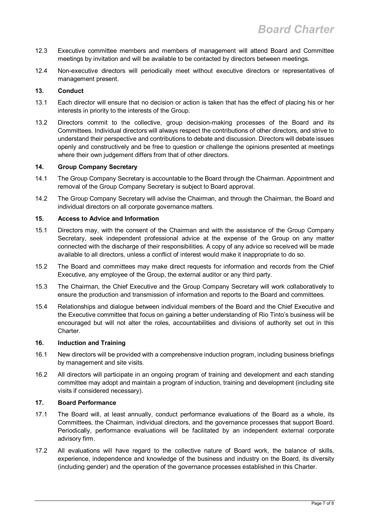- 12.3 Executive committee members and members of management will attend Board and Committee meetings by invitation and will be available to be contacted by directors between meetings.
- 12.4 Non-executive directors will periodically meet without executive directors or representatives of management present.

#### <span id="page-6-0"></span>**13. Conduct**

- 13.1 Each director will ensure that no decision or action is taken that has the effect of placing his or her interests in priority to the interests of the Group.
- 13.2 Directors commit to the collective, group decision-making processes of the Board and its Committees. Individual directors will always respect the contributions of other directors, and strive to understand their perspective and contributions to debate and discussion. Directors will debate issues openly and constructively and be free to question or challenge the opinions presented at meetings where their own judgement differs from that of other directors.

#### <span id="page-6-1"></span>**14. Group Company Secretary**

- 14.1 The Group Company Secretary is accountable to the Board through the Chairman. Appointment and removal of the Group Company Secretary is subject to Board approval.
- 14.2 The Group Company Secretary will advise the Chairman, and through the Chairman, the Board and individual directors on all corporate governance matters.

#### <span id="page-6-2"></span>**15. Access to Advice and Information**

- 15.1 Directors may, with the consent of the Chairman and with the assistance of the Group Company Secretary, seek independent professional advice at the expense of the Group on any matter connected with the discharge of their responsibilities. A copy of any advice so received will be made available to all directors, unless a conflict of interest would make it inappropriate to do so.
- 15.2 The Board and committees may make direct requests for information and records from the Chief Executive, any employee of the Group, the external auditor or any third party.
- 15.3 The Chairman, the Chief Executive and the Group Company Secretary will work collaboratively to ensure the production and transmission of information and reports to the Board and committees.
- 15.4 Relationships and dialogue between individual members of the Board and the Chief Executive and the Executive committee that focus on gaining a better understanding of Rio Tinto's business will be encouraged but will not alter the roles, accountabilities and divisions of authority set out in this Charter.

#### <span id="page-6-3"></span>**16. Induction and Training**

- 16.1 New directors will be provided with a comprehensive induction program, including business briefings by management and site visits.
- 16.2 All directors will participate in an ongoing program of training and development and each standing committee may adopt and maintain a program of induction, training and development (including site visits if considered necessary).

#### <span id="page-6-4"></span>**17. Board Performance**

- 17.1 The Board will, at least annually, conduct performance evaluations of the Board as a whole, its Committees, the Chairman, individual directors, and the governance processes that support Board. Periodically, performance evaluations will be facilitated by an independent external corporate advisory firm.
- 17.2 All evaluations will have regard to the collective nature of Board work, the balance of skills, experience, independence and knowledge of the business and industry on the Board, its diversity (including gender) and the operation of the governance processes established in this Charter.